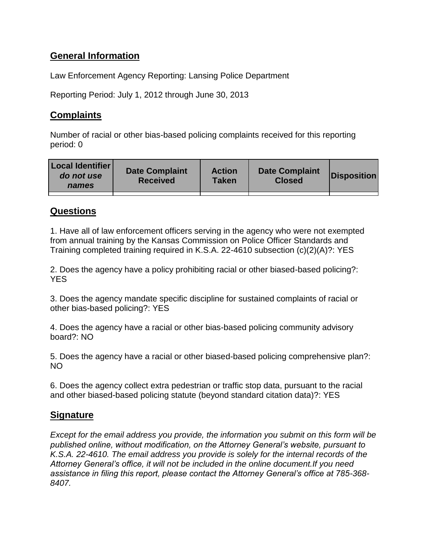# **General Information**

Law Enforcement Agency Reporting: Lansing Police Department

Reporting Period: July 1, 2012 through June 30, 2013

## **Complaints**

Number of racial or other bias-based policing complaints received for this reporting period: 0

| <b>Local Identifier</b><br>do not use<br>names | <b>Date Complaint</b><br><b>Received</b> | <b>Action</b><br>Taken | <b>Date Complaint</b><br><b>Closed</b> | Disposition |
|------------------------------------------------|------------------------------------------|------------------------|----------------------------------------|-------------|
|                                                |                                          |                        |                                        |             |

## **Questions**

1. Have all of law enforcement officers serving in the agency who were not exempted from annual training by the Kansas Commission on Police Officer Standards and Training completed training required in K.S.A. 22-4610 subsection (c)(2)(A)?: YES

2. Does the agency have a policy prohibiting racial or other biased-based policing?: **YES** 

3. Does the agency mandate specific discipline for sustained complaints of racial or other bias-based policing?: YES

4. Does the agency have a racial or other bias-based policing community advisory board?: NO

5. Does the agency have a racial or other biased-based policing comprehensive plan?: NO

6. Does the agency collect extra pedestrian or traffic stop data, pursuant to the racial and other biased-based policing statute (beyond standard citation data)?: YES

## **Signature**

*Except for the email address you provide, the information you submit on this form will be published online, without modification, on the Attorney General's website, pursuant to K.S.A. 22-4610. The email address you provide is solely for the internal records of the Attorney General's office, it will not be included in the online document.If you need assistance in filing this report, please contact the Attorney General's office at 785-368- 8407.*